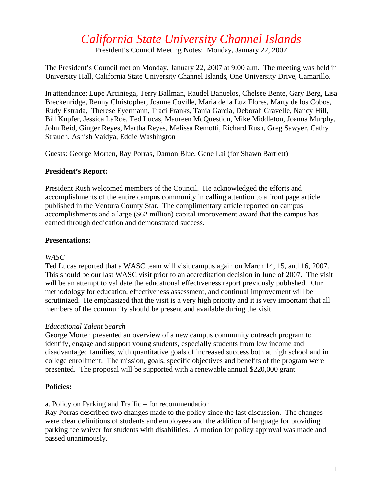# *California State University Channel Islands*

President's Council Meeting Notes: Monday, January 22, 2007

The President's Council met on Monday, January 22, 2007 at 9:00 a.m. The meeting was held in University Hall, California State University Channel Islands, One University Drive, Camarillo.

In attendance: Lupe Arciniega, Terry Ballman, Raudel Banuelos, Chelsee Bente, Gary Berg, Lisa Breckenridge, Renny Christopher, Joanne Coville, Maria de la Luz Flores, Marty de los Cobos, Rudy Estrada, Therese Eyermann, Traci Franks, Tania Garcia, Deborah Gravelle, Nancy Hill, Bill Kupfer, Jessica LaRoe, Ted Lucas, Maureen McQuestion, Mike Middleton, Joanna Murphy, John Reid, Ginger Reyes, Martha Reyes, Melissa Remotti, Richard Rush, Greg Sawyer, Cathy Strauch, Ashish Vaidya, Eddie Washington

Guests: George Morten, Ray Porras, Damon Blue, Gene Lai (for Shawn Bartlett)

## **President's Report:**

President Rush welcomed members of the Council. He acknowledged the efforts and accomplishments of the entire campus community in calling attention to a front page article published in the Ventura County Star. The complimentary article reported on campus accomplishments and a large (\$62 million) capital improvement award that the campus has earned through dedication and demonstrated success.

## **Presentations:**

## *WASC*

Ted Lucas reported that a WASC team will visit campus again on March 14, 15, and 16, 2007. This should be our last WASC visit prior to an accreditation decision in June of 2007. The visit will be an attempt to validate the educational effectiveness report previously published. Our methodology for education, effectiveness assessment, and continual improvement will be scrutinized. He emphasized that the visit is a very high priority and it is very important that all members of the community should be present and available during the visit.

## *Educational Talent Search*

George Morten presented an overview of a new campus community outreach program to identify, engage and support young students, especially students from low income and disadvantaged families, with quantitative goals of increased success both at high school and in college enrollment. The mission, goals, specific objectives and benefits of the program were presented. The proposal will be supported with a renewable annual \$220,000 grant.

## **Policies:**

a. Policy on Parking and Traffic – for recommendation

Ray Porras described two changes made to the policy since the last discussion. The changes were clear definitions of students and employees and the addition of language for providing parking fee waiver for students with disabilities. A motion for policy approval was made and passed unanimously.